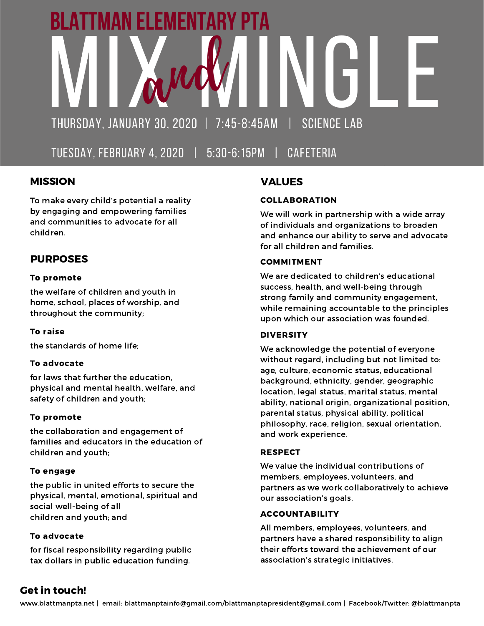# ATTMAN ELEMENTAI THURSDAY, JANUARY 30, 2020 | 7:45-8:45AM **SCIENCE LAB**

TUESDAY, FEBRUARY 4, 2020 | 5:30-6:15PM | CAFETERIA

# MISSION

To make every child's potential a reality by engaging and empowering families and communities to advocate for all children.

# PURPOSES

#### To promote

the welfare of children and youth in home, school, places of worship, and throughout the community;

#### To raise

the standards of home life;

#### To advocate

for laws that further the education, physical and mental health, welfare, and safety of children and youth;

#### To promote

the collaboration and engagement of families and educators in the education of children and youth;

#### To engage

the public in united efforts to secure the physical, mental, emotional, spiritual and social well-being of all children and youth; and

#### To advocate

for fiscal responsibility regarding public tax dollars in public education funding.

# VALUES

#### COLLABORATION

We will work in partnership with a wide array of individuals and organizations to broaden and enhance our ability to serve and advocate for all children and families.

#### COMMITMENT

We are dedicated to children's educational success, health, and well-being through strong family and community engagement, while remaining accountable to the principles upon which our association was founded.

#### DIVERSITY

We acknowledge the potential of everyone without regard, including but not limited to: age, culture, economic status, educational background, ethnicity, gender, geographic location, legal status, marital status, mental ability, national origin, organizational position, parental status, physical ability, political philosophy, race, religion, sexual orientation, and work experience.

#### RESPECT

We value the individual contributions of members, employees, volunteers, and partners as we work collaboratively to achieve our association's goals.

#### ACCOUNTABILITY

All members, employees, volunteers, and partners have a shared responsibility to align their efforts toward the achievement of our association's strategic initiatives.

# Get in touch!

www.blattmanpta.net | email: blattmanptainfo@gmail.com/blattmanptapresident@gmail.com | Facebook/Twitter: @blattmanpta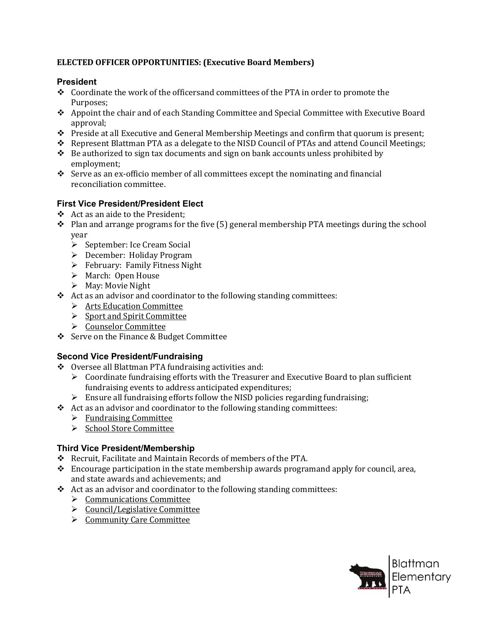## **ELECTED OFFICER OPPORTUNITIES: (Executive Board Members)**

#### **President**

- $\bullet$  Coordinate the work of the officersand committees of the PTA in order to promote the Purposes;
- Appoint the chair and of each Standing Committee and Special Committee with Executive Board approval;
- $\triangle$  Preside at all Executive and General Membership Meetings and confirm that quorum is present;
- \* Represent Blattman PTA as a delegate to the NISD Council of PTAs and attend Council Meetings;
- $\triangle$  Be authorized to sign tax documents and sign on bank accounts unless prohibited by employment;
- $\div$  Serve as an ex-officio member of all committees except the nominating and financial reconciliation committee.

## **First Vice President/President Elect**

- Act as an aide to the President;
- $\div$  Plan and arrange programs for the five (5) general membership PTA meetings during the school year
	- $\triangleright$  September: Ice Cream Social
	- December: Holiday Program
	- $\triangleright$  February: Family Fitness Night
	- March: Open House
	- $\triangleright$  May: Movie Night
- \* Act as an advisor and coordinator to the following standing committees:
	- > Arts Education Committee
	- $\triangleright$  Sport and Spirit Committee
	- ▶ Counselor Committee
- Serve on the Finance & Budget Committee

## **Second Vice President/Fundraising**

- Oversee all Blattman PTA fundraising activities and:
	- $\triangleright$  Coordinate fundraising efforts with the Treasurer and Executive Board to plan sufficient fundraising events to address anticipated expenditures;
	- $\triangleright$  Ensure all fundraising efforts follow the NISD policies regarding fundraising;
- $\triangleleft$  Act as an advisor and coordinator to the following standing committees:
	- $\triangleright$  Fundraising Committee
	- School Store Committee

## **Third Vice President/Membership**

- \* Recruit, Facilitate and Maintain Records of members of the PTA.
- Encourage participation in the state membership awards programand apply for council, area, and state awards and achievements; and
- $\triangleleft$  Act as an advisor and coordinator to the following standing committees:
	- $\triangleright$  Communications Committee
	- $\triangleright$  Council/Legislative Committee
	- $\triangleright$  Community Care Committee

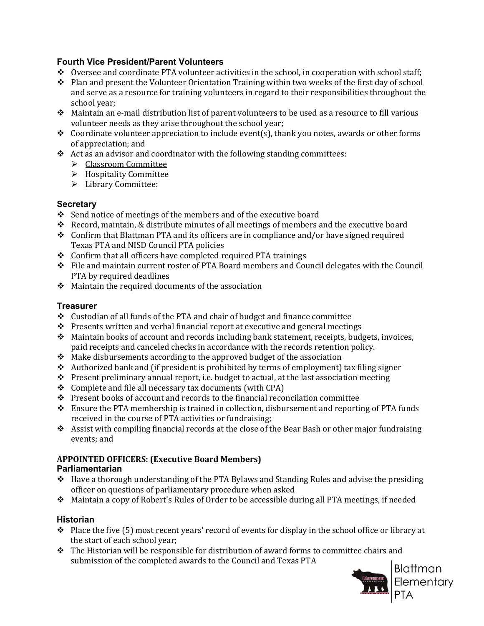## **Fourth Vice President/Parent Volunteers**

- \* Oversee and coordinate PTA volunteer activities in the school, in cooperation with school staff;
- \* Plan and present the Volunteer Orientation Training within two weeks of the first day of school and serve as a resource for training volunteers in regard to their responsibilities throughout the school year;
- Maintain an e-mail distribution list of parent volunteers to be used as a resource to fill various volunteer needs as they arise throughout the school year;
- $\div$  Coordinate volunteer appreciation to include event(s), thank you notes, awards or other forms of appreciation; and
- Act as an advisor and coordinator with the following standing committees:
	- > Classroom Committee
	- > Hospitality Committee
	- > Library Committee:

## **Secretary**

- $\div$  Send notice of meetings of the members and of the executive board
- Record, maintain, & distribute minutes of all meetings of members and the executive board
- $\div$  Confirm that Blattman PTA and its officers are in compliance and/or have signed required Texas PTA and NISD Council PTA policies
- $\triangle$  Confirm that all officers have completed required PTA trainings
- File and maintain current roster of PTA Board members and Council delegates with the Council PTA by required deadlines
- $\triangle$  Maintain the required documents of the association

## **Treasurer**

- $\div$  Custodian of all funds of the PTA and chair of budget and finance committee
- $\div$  Presents written and verbal financial report at executive and general meetings
- $\triangle$  Maintain books of account and records including bank statement, receipts, budgets, invoices, paid receipts and canceled checks in accordance with the records retention policy.
- $\triangleleft$  Make disbursements according to the approved budget of the association
- $\triangleleft$  Authorized bank and (if president is prohibited by terms of employment) tax filing signer
- \* Present preliminary annual report, i.e. budget to actual, at the last association meeting
- $\div$  Complete and file all necessary tax documents (with CPA)
- \* Present books of account and records to the financial reconcilation committee
- $\div$  Ensure the PTA membership is trained in collection, disbursement and reporting of PTA funds received in the course of PTA activities or fundraising;
- Assist with compiling financial records at the close of the Bear Bash or other major fundraising events; and

#### **APPOINTED OFFICERS: (Executive Board Members) Parliamentarian**

- $\triangle$  Have a thorough understanding of the PTA Bylaws and Standing Rules and advise the presiding officer on questions of parliamentary procedure when asked
- Maintain a copy of Robert's Rules of Order to be accessible during all PTA meetings, if needed

## **Historian**

- \* Place the five (5) most recent years' record of events for display in the school office or library at the start of each school year;
- $\div$  The Historian will be responsible for distribution of award forms to committee chairs and submission of the completed awards to the Council and Texas PTA

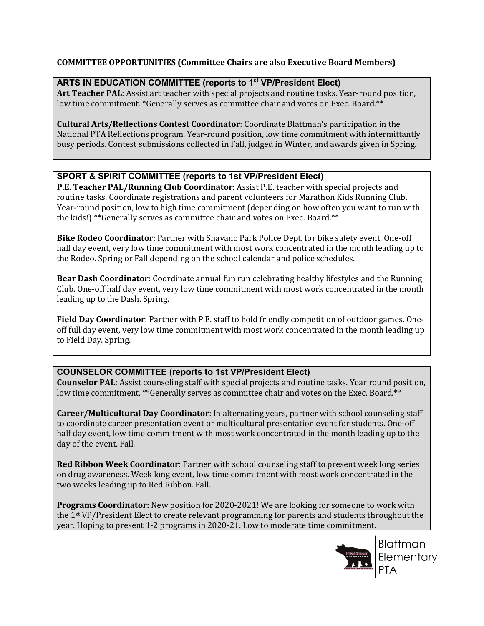#### **COMMITTEE OPPORTUNITIES (Committee Chairs are also Executive Board Members)**

## **ARTS IN EDUCATION COMMITTEE (reports to 1st VP/President Elect)**

**Art Teacher PAL**: Assist art teacher with special projects and routine tasks. Year-round position, low time commitment. \*Generally serves as committee chair and votes on Exec. Board.\*\*

**Cultural Arts/Reflections Contest Coordinator**: Coordinate Blattman's participation in the National PTA Reflections program. Year-round position, low time commitment with intermittantly busy periods. Contest submissions collected in Fall, judged in Winter, and awards given in Spring.

## **SPORT & SPIRIT COMMITTEE (reports to 1st VP/President Elect)**

**P.E. Teacher PAL/Running Club Coordinator**: Assist P.E. teacher with special projects and routine tasks. Coordinate registrations and parent volunteers for Marathon Kids Running Club. Year-round position, low to high time commitment (depending on how often you want to run with the kids!) \*\*Generally serves as committee chair and votes on Exec. Board.\*\*

**Bike Rodeo Coordinator**: Partner with Shavano Park Police Dept. for bike safety event. One-off half day event, very low time commitment with most work concentrated in the month leading up to the Rodeo. Spring or Fall depending on the school calendar and police schedules.

**Bear Dash Coordinator:** Coordinate annual fun run celebrating healthy lifestyles and the Running Club. One-off half day event, very low time commitment with most work concentrated in the month leading up to the Dash. Spring.

**Field Day Coordinator**: Partner with P.E. staff to hold friendly competition of outdoor games. Oneoff full day event, very low time commitment with most work concentrated in the month leading up to Field Day. Spring.

# **COUNSELOR COMMITTEE (reports to 1st VP/President Elect)**

**Counselor PAL**: Assist counseling staff with special projects and routine tasks. Year round position, low time commitment. \*\*Generally serves as committee chair and votes on the Exec. Board.\*\*

**Career/Multicultural Day Coordinator**: In alternating years, partner with school counseling staff to coordinate career presentation event or multicultural presentation event for students. One-off half day event, low time commitment with most work concentrated in the month leading up to the day of the event. Fall.

**Red Ribbon Week Coordinator**: Partner with school counseling staff to present week long series on drug awareness. Week long event, low time commitment with most work concentrated in the two weeks leading up to Red Ribbon. Fall.

**Programs Coordinator:** New position for 2020-2021! We are looking for someone to work with the 1st VP/President Elect to create relevant programming for parents and students throughout the year. Hoping to present 1-2 programs in 2020-21. Low to moderate time commitment.



**Blattman** Elementary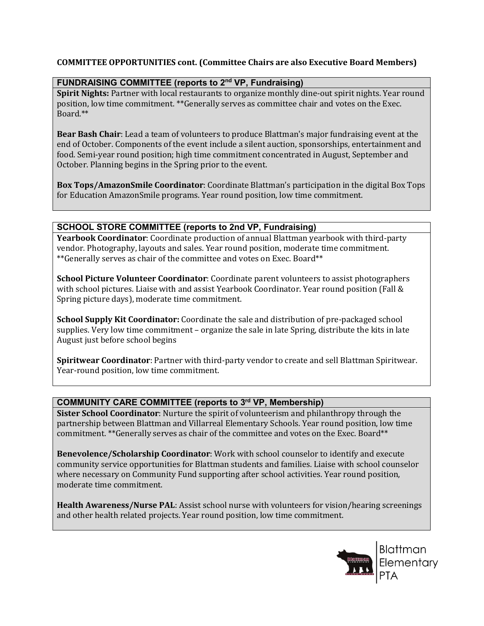#### **COMMITTEE OPPORTUNITIES cont. (Committee Chairs are also Executive Board Members)**

#### **FUNDRAISING COMMITTEE (reports to 2nd VP, Fundraising)**

**Spirit Nights:** Partner with local restaurants to organize monthly dine-out spirit nights. Year round position, low time commitment. \*\*Generally serves as committee chair and votes on the Exec. Board.\*\*

**Bear Bash Chair**: Lead a team of volunteers to produce Blattman's major fundraising event at the end of October. Components of the event include a silent auction, sponsorships, entertainment and food. Semi-year round position; high time commitment concentrated in August, September and October. Planning begins in the Spring prior to the event.

**Box Tops/AmazonSmile Coordinator**: Coordinate Blattman's participation in the digital Box Tops for Education AmazonSmile programs. Year round position, low time commitment.

#### **SCHOOL STORE COMMITTEE (reports to 2nd VP, Fundraising)**

**Yearbook Coordinator**: Coordinate production of annual Blattman yearbook with third-party vendor. Photography, layouts and sales. Year round position, moderate time commitment. \*\*Generally serves as chair of the committee and votes on Exec. Board\*\*

**School Picture Volunteer Coordinator**: Coordinate parent volunteers to assist photographers with school pictures. Liaise with and assist Yearbook Coordinator. Year round position (Fall & Spring picture days), moderate time commitment.

**School Supply Kit Coordinator:** Coordinate the sale and distribution of pre-packaged school supplies. Very low time commitment – organize the sale in late Spring, distribute the kits in late August just before school begins

**Spiritwear Coordinator**: Partner with third-party vendor to create and sell Blattman Spiritwear. Year-round position, low time commitment.

#### **COMMUNITY CARE COMMITTEE (reports to 3rd VP, Membership)**

**Sister School Coordinator**: Nurture the spirit of volunteerism and philanthropy through the partnership between Blattman and Villarreal Elementary Schools. Year round position, low time commitment. \*\*Generally serves as chair of the committee and votes on the Exec. Board\*\*

**Benevolence/Scholarship Coordinator**: Work with school counselor to identify and execute community service opportunities for Blattman students and families. Liaise with school counselor where necessary on Community Fund supporting after school activities. Year round position, moderate time commitment.

**Health Awareness/Nurse PAL**: Assist school nurse with volunteers for vision/hearing screenings and other health related projects. Year round position, low time commitment.

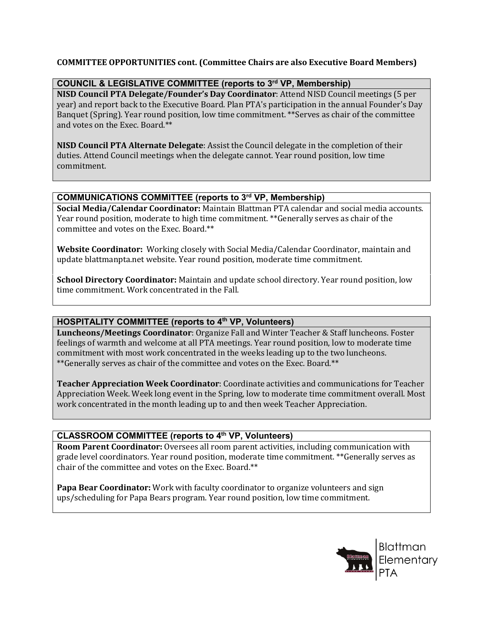#### **COMMITTEE OPPORTUNITIES cont. (Committee Chairs are also Executive Board Members)**

#### **COUNCIL & LEGISLATIVE COMMITTEE (reports to 3rd VP, Membership)**

**NISD Council PTA Delegate/Founder's Day Coordinator**: Attend NISD Council meetings (5 per year) and report back to the Executive Board. Plan PTA's participation in the annual Founder's Day Banquet (Spring). Year round position, low time commitment. \*\*Serves as chair of the committee and votes on the Exec. Board.\*\*

**NISD Council PTA Alternate Delegate**: Assist the Council delegate in the completion of their duties. Attend Council meetings when the delegate cannot. Year round position, low time commitment.

## **COMMUNICATIONS COMMITTEE (reports to 3rd VP, Membership)**

**Social Media/Calendar Coordinator:** Maintain Blattman PTA calendar and social media accounts. Year round position, moderate to high time commitment. \*\*Generally serves as chair of the committee and votes on the Exec. Board.\*\*

**Website Coordinator:** Working closely with Social Media/Calendar Coordinator, maintain and update blattmanpta.net website. Year round position, moderate time commitment.

**School Directory Coordinator:** Maintain and update school directory. Year round position, low time commitment. Work concentrated in the Fall.

## **HOSPITALITY COMMITTEE (reports to 4th VP, Volunteers)**

**Luncheons/Meetings Coordinator**: Organize Fall and Winter Teacher & Staff luncheons. Foster feelings of warmth and welcome at all PTA meetings. Year round position, low to moderate time commitment with most work concentrated in the weeks leading up to the two luncheons. \*\*Generally serves as chair of the committee and votes on the Exec. Board.\*\*

**Teacher Appreciation Week Coordinator**: Coordinate activities and communications for Teacher Appreciation Week. Week long event in the Spring, low to moderate time commitment overall. Most work concentrated in the month leading up to and then week Teacher Appreciation.

#### **CLASSROOM COMMITTEE (reports to 4th VP, Volunteers)**

**Room Parent Coordinator:** Oversees all room parent activities, including communication with grade level coordinators. Year round position, moderate time commitment. \*\*Generally serves as chair of the committee and votes on the Exec. Board.\*\*

**Papa Bear Coordinator:** Work with faculty coordinator to organize volunteers and sign ups/scheduling for Papa Bears program. Year round position, low time commitment.

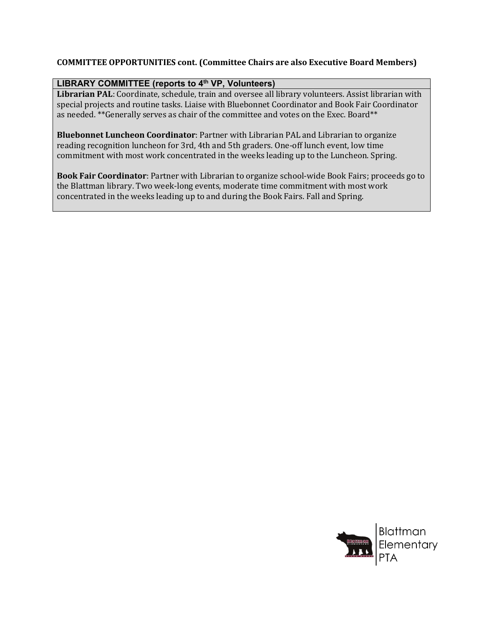#### **COMMITTEE OPPORTUNITIES cont. (Committee Chairs are also Executive Board Members)**

## **LIBRARY COMMITTEE (reports to 4th VP, Volunteers)**

**Librarian PAL**: Coordinate, schedule, train and oversee all library volunteers. Assist librarian with special projects and routine tasks. Liaise with Bluebonnet Coordinator and Book Fair Coordinator as needed. \*\*Generally serves as chair of the committee and votes on the Exec. Board\*\*

**Bluebonnet Luncheon Coordinator**: Partner with Librarian PAL and Librarian to organize reading recognition luncheon for 3rd, 4th and 5th graders. One-off lunch event, low time commitment with most work concentrated in the weeks leading up to the Luncheon. Spring.

**Book Fair Coordinator**: Partner with Librarian to organize school-wide Book Fairs; proceeds go to the Blattman library. Two week-long events, moderate time commitment with most work concentrated in the weeks leading up to and during the Book Fairs. Fall and Spring.